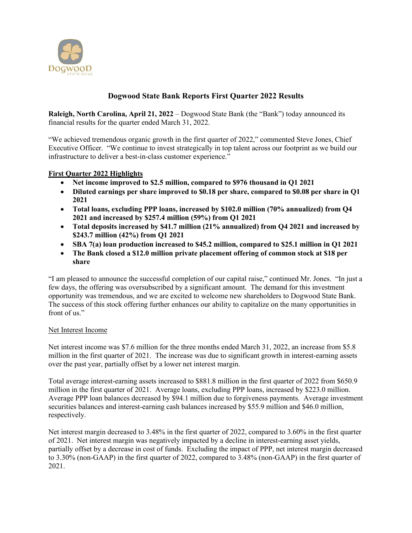

# **Dogwood State Bank Reports First Quarter 2022 Results**

**Raleigh, North Carolina, April 21, 2022** – Dogwood State Bank (the "Bank") today announced its financial results for the quarter ended March 31, 2022.

"We achieved tremendous organic growth in the first quarter of 2022," commented Steve Jones, Chief Executive Officer. "We continue to invest strategically in top talent across our footprint as we build our infrastructure to deliver a best-in-class customer experience."

### **First Quarter 2022 Highlights**

- **Net income improved to \$2.5 million, compared to \$976 thousand in Q1 2021**
- **Diluted earnings per share improved to \$0.18 per share, compared to \$0.08 per share in Q1 2021**
- **Total loans, excluding PPP loans, increased by \$102.0 million (70% annualized) from Q4 2021 and increased by \$257.4 million (59%) from Q1 2021**
- **Total deposits increased by \$41.7 million (21% annualized) from Q4 2021 and increased by \$243.7 million (42%) from Q1 2021**
- **SBA 7(a) loan production increased to \$45.2 million, compared to \$25.1 million in Q1 2021**
- **The Bank closed a \$12.0 million private placement offering of common stock at \$18 per share**

"I am pleased to announce the successful completion of our capital raise," continued Mr. Jones. "In just a few days, the offering was oversubscribed by a significant amount. The demand for this investment opportunity was tremendous, and we are excited to welcome new shareholders to Dogwood State Bank. The success of this stock offering further enhances our ability to capitalize on the many opportunities in front of us."

#### Net Interest Income

Net interest income was \$7.6 million for the three months ended March 31, 2022, an increase from \$5.8 million in the first quarter of 2021. The increase was due to significant growth in interest-earning assets over the past year, partially offset by a lower net interest margin.

Total average interest-earning assets increased to \$881.8 million in the first quarter of 2022 from \$650.9 million in the first quarter of 2021. Average loans, excluding PPP loans, increased by \$223.0 million. Average PPP loan balances decreased by \$94.1 million due to forgiveness payments. Average investment securities balances and interest-earning cash balances increased by \$55.9 million and \$46.0 million, respectively.

Net interest margin decreased to 3.48% in the first quarter of 2022, compared to 3.60% in the first quarter of 2021. Net interest margin was negatively impacted by a decline in interest-earning asset yields, partially offset by a decrease in cost of funds. Excluding the impact of PPP, net interest margin decreased to 3.30% (non-GAAP) in the first quarter of 2022, compared to 3.48% (non-GAAP) in the first quarter of 2021.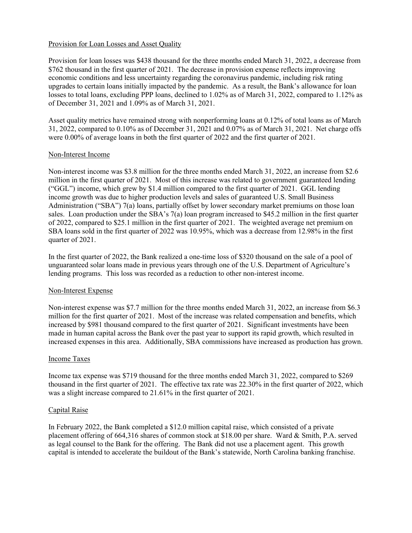#### Provision for Loan Losses and Asset Quality

Provision for loan losses was \$438 thousand for the three months ended March 31, 2022, a decrease from \$762 thousand in the first quarter of 2021. The decrease in provision expense reflects improving economic conditions and less uncertainty regarding the coronavirus pandemic, including risk rating upgrades to certain loans initially impacted by the pandemic. As a result, the Bank's allowance for loan losses to total loans, excluding PPP loans, declined to 1.02% as of March 31, 2022, compared to 1.12% as of December 31, 2021 and 1.09% as of March 31, 2021.

Asset quality metrics have remained strong with nonperforming loans at 0.12% of total loans as of March 31, 2022, compared to 0.10% as of December 31, 2021 and 0.07% as of March 31, 2021. Net charge offs were 0.00% of average loans in both the first quarter of 2022 and the first quarter of 2021.

#### Non-Interest Income

Non-interest income was \$3.8 million for the three months ended March 31, 2022, an increase from \$2.6 million in the first quarter of 2021. Most of this increase was related to government guaranteed lending ("GGL") income, which grew by \$1.4 million compared to the first quarter of 2021. GGL lending income growth was due to higher production levels and sales of guaranteed U.S. Small Business Administration ("SBA") 7(a) loans, partially offset by lower secondary market premiums on those loan sales. Loan production under the SBA's 7(a) loan program increased to \$45.2 million in the first quarter of 2022, compared to \$25.1 million in the first quarter of 2021. The weighted average net premium on SBA loans sold in the first quarter of 2022 was 10.95%, which was a decrease from 12.98% in the first quarter of 2021.

In the first quarter of 2022, the Bank realized a one-time loss of \$320 thousand on the sale of a pool of unguaranteed solar loans made in previous years through one of the U.S. Department of Agriculture's lending programs. This loss was recorded as a reduction to other non-interest income.

#### Non-Interest Expense

Non-interest expense was \$7.7 million for the three months ended March 31, 2022, an increase from \$6.3 million for the first quarter of 2021. Most of the increase was related compensation and benefits, which increased by \$981 thousand compared to the first quarter of 2021. Significant investments have been made in human capital across the Bank over the past year to support its rapid growth, which resulted in increased expenses in this area. Additionally, SBA commissions have increased as production has grown.

#### Income Taxes

Income tax expense was \$719 thousand for the three months ended March 31, 2022, compared to \$269 thousand in the first quarter of 2021. The effective tax rate was 22.30% in the first quarter of 2022, which was a slight increase compared to 21.61% in the first quarter of 2021.

#### Capital Raise

In February 2022, the Bank completed a \$12.0 million capital raise, which consisted of a private placement offering of 664,316 shares of common stock at \$18.00 per share. Ward & Smith, P.A. served as legal counsel to the Bank for the offering. The Bank did not use a placement agent. This growth capital is intended to accelerate the buildout of the Bank's statewide, North Carolina banking franchise.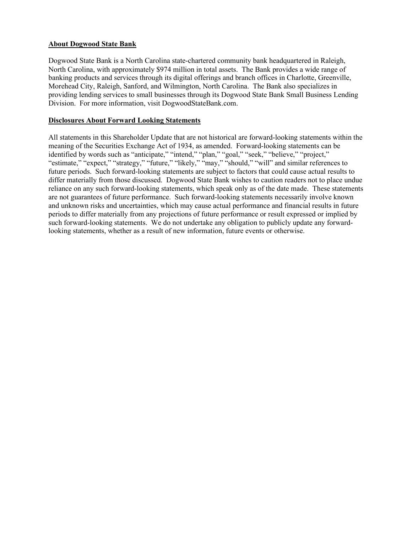### **About Dogwood State Bank**

Dogwood State Bank is a North Carolina state-chartered community bank headquartered in Raleigh, North Carolina, with approximately \$974 million in total assets. The Bank provides a wide range of banking products and services through its digital offerings and branch offices in Charlotte, Greenville, Morehead City, Raleigh, Sanford, and Wilmington, North Carolina. The Bank also specializes in providing lending services to small businesses through its Dogwood State Bank Small Business Lending Division. For more information, visit DogwoodStateBank.com.

# **Disclosures About Forward Looking Statements**

All statements in this Shareholder Update that are not historical are forward-looking statements within the meaning of the Securities Exchange Act of 1934, as amended. Forward-looking statements can be identified by words such as "anticipate," "intend," "plan," "goal," "seek," "believe," "project," "estimate," "expect," "strategy," "future," "likely," "may," "should," "will" and similar references to future periods. Such forward-looking statements are subject to factors that could cause actual results to differ materially from those discussed. Dogwood State Bank wishes to caution readers not to place undue reliance on any such forward-looking statements, which speak only as of the date made. These statements are not guarantees of future performance. Such forward-looking statements necessarily involve known and unknown risks and uncertainties, which may cause actual performance and financial results in future periods to differ materially from any projections of future performance or result expressed or implied by such forward-looking statements. We do not undertake any obligation to publicly update any forwardlooking statements, whether as a result of new information, future events or otherwise.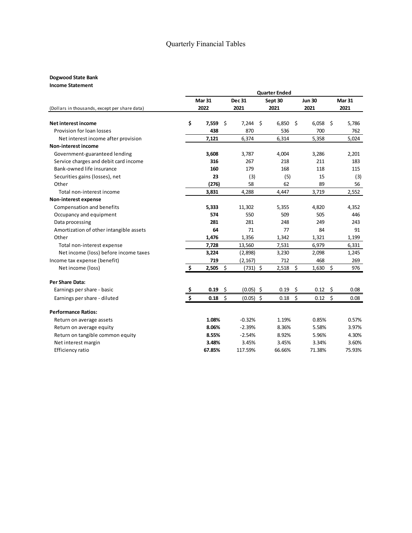# Quarterly Financial Tables

# **Dogwood State Bank**

**Income Statement**

|                                               | <b>Quarter Ended</b> |            |         |               |      |         |                     |               |                      |                       |  |
|-----------------------------------------------|----------------------|------------|---------|---------------|------|---------|---------------------|---------------|----------------------|-----------------------|--|
|                                               | <b>Mar 31</b>        |            |         | <b>Dec 31</b> |      | Sept 30 |                     | <b>Jun 30</b> |                      | <b>Mar 31</b><br>2021 |  |
| (Dollars in thousands, except per share data) |                      | 2022       | 2021    |               | 2021 |         | 2021                |               |                      |                       |  |
| Net interest income                           | \$                   | 7,559      | $\zeta$ | 7,244         | \$   | 6,850   | -\$                 | 6,058         | \$                   | 5,786                 |  |
| Provision for loan losses                     |                      | 438        |         | 870           |      | 536     |                     | 700           |                      | 762                   |  |
| Net interest income after provision           |                      | 7,121      |         | 6,374         |      | 6,314   |                     | 5,358         |                      | 5,024                 |  |
| <b>Non-interest income</b>                    |                      |            |         |               |      |         |                     |               |                      |                       |  |
| Government-guaranteed lending                 |                      | 3,608      |         | 3,787         |      | 4,004   |                     | 3,286         |                      | 2,201                 |  |
| Service charges and debit card income         |                      | 316        |         | 267           |      | 218     |                     | 211           |                      | 183                   |  |
| Bank-owned life insurance                     |                      | 160        |         | 179           |      | 168     |                     | 118           |                      | 115                   |  |
| Securities gains (losses), net                |                      | 23         |         | (3)           |      | (5)     |                     | 15            |                      | (3)                   |  |
| Other                                         |                      | (276)      |         | 58            |      | 62      |                     | 89            |                      | 56                    |  |
| Total non-interest income                     |                      | 3,831      |         | 4,288         |      | 4,447   |                     | 3,719         |                      | 2,552                 |  |
| Non-interest expense                          |                      |            |         |               |      |         |                     |               |                      |                       |  |
| Compensation and benefits                     |                      | 5,333      |         | 11,302        |      | 5,355   |                     | 4,820         |                      | 4,352                 |  |
| Occupancy and equipment                       |                      | 574        |         | 550           |      | 509     |                     | 505           |                      | 446                   |  |
| Data processing                               |                      | 281        |         | 281           |      | 248     |                     | 249           |                      | 243                   |  |
| Amortization of other intangible assets       |                      | 64         |         | 71            |      | 77      |                     | 84            |                      | 91                    |  |
| Other                                         |                      | 1,476      |         | 1,356         |      | 1,342   |                     | 1,321         |                      | 1,199                 |  |
| Total non-interest expense                    |                      | 7,728      |         | 13,560        |      | 7,531   |                     | 6,979         |                      | 6,331                 |  |
| Net income (loss) before income taxes         |                      | 3,224      |         | (2,898)       |      | 3,230   |                     | 2,098         |                      | 1,245                 |  |
| Income tax expense (benefit)                  |                      | 719        |         | (2, 167)      |      | 712     |                     | 468           |                      | 269                   |  |
| Net income (loss)                             | \$                   | $2,505$ \$ |         | $(731)$ \$    |      | 2,518   | $\ddot{\mathsf{S}}$ | 1,630         | $\boldsymbol{\zeta}$ | 976                   |  |
| <b>Per Share Data:</b>                        |                      |            |         |               |      |         |                     |               |                      |                       |  |
| Earnings per share - basic                    |                      | 0.19       | \$      | $(0.05)$ \$   |      | 0.19    | -\$                 | 0.12          | \$                   | 0.08                  |  |
| Earnings per share - diluted                  | Ś                    | 0.18       | \$      | $(0.05)$ \$   |      | 0.18    | Ŝ.                  | 0.12          | \$                   | 0.08                  |  |
| <b>Performance Ratios:</b>                    |                      |            |         |               |      |         |                     |               |                      |                       |  |
| Return on average assets                      |                      | 1.08%      |         | $-0.32%$      |      | 1.19%   |                     | 0.85%         |                      | 0.57%                 |  |
| Return on average equity                      |                      | 8.06%      |         | $-2.39%$      |      | 8.36%   |                     | 5.58%         |                      | 3.97%                 |  |
| Return on tangible common equity              |                      | 8.55%      |         | $-2.54%$      |      | 8.92%   |                     | 5.96%         |                      | 4.30%                 |  |
| Net interest margin                           |                      | 3.48%      |         | 3.45%         |      | 3.45%   |                     | 3.34%         |                      | 3.60%                 |  |
| Efficiency ratio                              |                      | 67.85%     |         | 117.59%       |      | 66.66%  |                     | 71.38%        |                      | 75.93%                |  |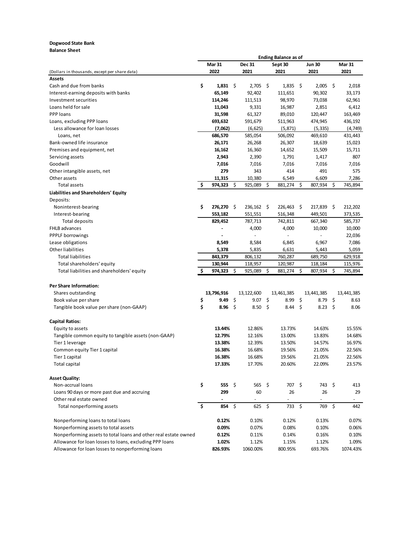#### **Dogwood State Bank**

**Balance Sheet**

|                                                                 | <b>Ending Balance as of</b> |                  |        |              |         |                  |                |                  |    |               |
|-----------------------------------------------------------------|-----------------------------|------------------|--------|--------------|---------|------------------|----------------|------------------|----|---------------|
|                                                                 |                             | <b>Mar 31</b>    | Dec 31 |              | Sept 30 |                  | <b>Jun 30</b>  |                  |    | <b>Mar 31</b> |
| (Dollars in thousands, except per share data)                   |                             | 2022             |        | 2021         |         | 2021             |                | 2021             |    | 2021          |
| Assets                                                          |                             |                  |        |              |         |                  |                |                  |    |               |
| Cash and due from banks                                         | \$                          | $1,831 \quad$ \$ |        | $2,705$ \$   |         | $1,835$ \$       |                | $2,005$ \$       |    | 2,018         |
| Interest-earning deposits with banks                            |                             | 65,149           |        | 92,402       |         | 111,651          |                | 90,302           |    | 33,173        |
| Investment securities                                           |                             | 114,246          |        | 111,513      |         | 98,970           |                | 73,038           |    | 62,961        |
| Loans held for sale                                             |                             | 11,043           |        | 9,331        |         | 16,987           |                | 2,851            |    | 6,412         |
| PPP loans                                                       |                             | 31,598           |        | 61,327       |         | 89,010           |                | 120,447          |    | 163,469       |
| Loans, excluding PPP loans                                      |                             | 693,632          |        | 591,679      |         | 511,963          |                | 474,945          |    | 436,192       |
| Less allowance for loan losses                                  |                             | (7,062)          |        | (6, 625)     |         | (5, 871)         |                | (5, 335)         |    | (4, 749)      |
| Loans, net                                                      |                             | 686,570          |        | 585,054      |         | 506,092          |                | 469,610          |    | 431,443       |
| Bank-owned life insurance                                       |                             | 26,171           |        | 26,268       |         | 26,307           |                | 18,639           |    | 15,023        |
| Premises and equipment, net                                     |                             | 16,162           |        | 16,360       |         | 14,652           |                | 15,509           |    | 15,711        |
| Servicing assets                                                |                             | 2,943            |        | 2,390        |         | 1,791            |                | 1,417            |    | 807           |
| Goodwill                                                        |                             | 7,016            |        | 7,016        |         | 7,016            |                | 7,016            |    | 7,016         |
| Other intangible assets, net                                    |                             | 279              |        | 343          |         | 414              |                | 491              |    | 575           |
| Other assets                                                    |                             | 11,315           |        | 10,380       |         | 6,549            |                | 6,609            |    | 7,286         |
| <b>Total assets</b>                                             | \$.                         | 974,323          | \$.    | 925,089      | \$      | 881,274          | -\$            | 807,934          | \$ | 745,894       |
| Liabilities and Shareholders' Equity                            |                             |                  |        |              |         |                  |                |                  |    |               |
| Deposits:                                                       |                             |                  |        |              |         |                  |                |                  |    |               |
| Noninterest-bearing                                             | \$                          | 276,270 \$       |        | $236,162$ \$ |         | 226,463 \$       |                | 217,839          | \$ | 212,202       |
| Interest-bearing                                                |                             | 553,182          |        | 551,551      |         | 516,348          |                | 449,501          |    | 373,535       |
| Total deposits                                                  |                             | 829,452          |        | 787,713      |         | 742,811          |                | 667,340          |    | 585,737       |
| FHLB advances                                                   |                             |                  |        | 4,000        |         | 4,000            |                | 10,000           |    | 10,000        |
| <b>PPPLF</b> borrowings                                         |                             |                  |        |              |         | $\blacksquare$   |                |                  |    | 22,036        |
|                                                                 |                             | 8,549            |        |              |         | 6,845            |                | 6,967            |    | 7,086         |
| Lease obligations<br>Other liabilities                          |                             |                  |        | 8,584        |         |                  |                |                  |    |               |
|                                                                 |                             | 5,378            |        | 5,835        |         | 6,631            |                | 5,443            |    | 5,059         |
| <b>Total liabilities</b>                                        |                             | 843,379          |        | 806,132      |         | 760,287          |                | 689,750          |    | 629,918       |
| Total shareholders' equity                                      |                             | 130,944          |        | 118,957      |         | 120,987          |                | 118,184          |    | 115,976       |
| Total liabilities and shareholders' equity                      | \$                          | 974,323          | \$     | 925,089      | \$      | 881,274          | \$             | 807,934          | \$ | 745,894       |
|                                                                 |                             |                  |        |              |         |                  |                |                  |    |               |
| <b>Per Share Information:</b>                                   |                             |                  |        |              |         |                  |                |                  |    |               |
| Shares outstanding                                              |                             | 13,796,916       |        | 13,122,600   |         | 13,461,385       |                | 13,441,385       |    | 13,441,385    |
| Book value per share                                            | \$                          | 9.49             | \$     | 9.07         | \$      | 8.99             | -\$            | 8.79             | \$ | 8.63          |
| Tangible book value per share (non-GAAP)                        | \$                          | 8.96             | \$     | 8.50         | \$      | 8.44             | - \$           | 8.23             | \$ | 8.06          |
|                                                                 |                             |                  |        |              |         |                  |                |                  |    |               |
| <b>Capital Ratios:</b>                                          |                             |                  |        |              |         |                  |                |                  |    |               |
| Equity to assets                                                |                             | 13.44%           |        | 12.86%       |         | 13.73%           |                | 14.63%           |    | 15.55%        |
| Tangible common equity to tangible assets (non-GAAP)            |                             | 12.79%           |        | 12.16%       |         | 13.00%           |                | 13.83%           |    | 14.68%        |
| Tier 1 leverage                                                 |                             | 13.38%           |        | 12.39%       |         | 13.50%           |                | 14.57%           |    | 16.97%        |
| Common equity Tier 1 capital                                    |                             | 16.38%           |        | 16.68%       |         | 19.56%           |                | 21.05%           |    | 22.56%        |
| Tier 1 capital                                                  |                             | 16.38%           |        | 16.68%       |         | 19.56%           |                | 21.05%           |    | 22.56%        |
| Total capital                                                   |                             | 17.33%           |        | 17.70%       |         | 20.60%           |                | 22.09%           |    | 23.57%        |
| <b>Asset Quality:</b>                                           |                             |                  |        |              |         |                  |                |                  |    |               |
|                                                                 | \$                          | 555              | - \$   | 565          | \$      | 707              | -\$            | 743              | \$ |               |
| Non-accrual loans                                               |                             |                  |        |              |         |                  |                |                  |    | 413           |
| Loans 90 days or more past due and accruing                     |                             | 299              |        | 60           |         | 26               |                | 26               |    | 29            |
| Other real estate owned                                         |                             |                  |        |              |         |                  |                |                  |    |               |
| Total nonperforming assets                                      | \$                          | 854              | \$     | 625          | \$      | 733              | $\ddot{\zeta}$ | 769              | \$ | 442           |
| Nonperforming loans to total loans                              |                             | 0.12%            |        | 0.10%        |         | 0.12%            |                | 0.13%            |    | 0.07%         |
| Nonperforming assets to total assets                            |                             | 0.09%            |        | 0.07%        |         | 0.08%            |                | 0.10%            |    | 0.06%         |
| Nonperforming assets to total loans and other real estate owned |                             | 0.12%            |        | 0.11%        |         | 0.14%            |                | 0.16%            |    | 0.10%         |
| Allowance for loan losses to loans, excluding PPP loans         |                             | 1.02%            |        | 1.12%        |         |                  |                |                  |    | 1.09%         |
| Allowance for loan losses to nonperforming loans                |                             | 826.93%          |        | 1060.00%     |         | 1.15%<br>800.95% |                | 1.12%<br>693.76% |    | 1074.43%      |
|                                                                 |                             |                  |        |              |         |                  |                |                  |    |               |